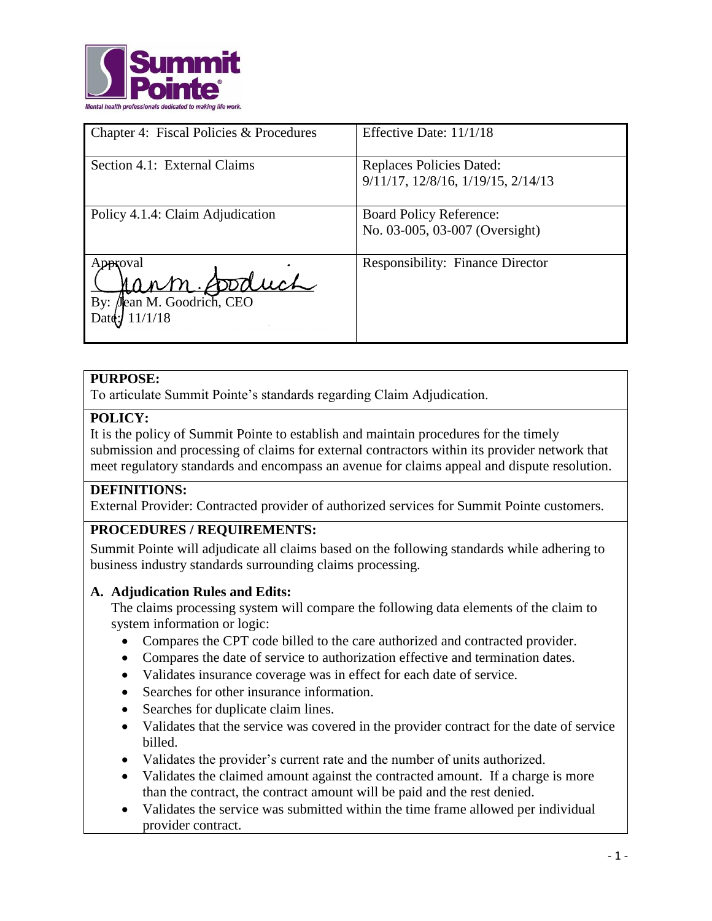

| Chapter 4: Fiscal Policies & Procedures                        | Effective Date: 11/1/18                                               |
|----------------------------------------------------------------|-----------------------------------------------------------------------|
| Section 4.1: External Claims                                   | <b>Replaces Policies Dated:</b><br>9/11/17, 12/8/16, 1/19/15, 2/14/13 |
| Policy 4.1.4: Claim Adjudication                               | <b>Board Policy Reference:</b><br>No. 03-005, 03-007 (Oversight)      |
| Approval<br>im fooduch<br>By: Jean M. Goodrich, CEO<br>11/1/18 | <b>Responsibility: Finance Director</b>                               |

### **PURPOSE:**

To articulate Summit Pointe's standards regarding Claim Adjudication.

### **POLICY:**

It is the policy of Summit Pointe to establish and maintain procedures for the timely submission and processing of claims for external contractors within its provider network that meet regulatory standards and encompass an avenue for claims appeal and dispute resolution.

#### **DEFINITIONS:**

External Provider: Contracted provider of authorized services for Summit Pointe customers.

## **PROCEDURES / REQUIREMENTS:**

Summit Pointe will adjudicate all claims based on the following standards while adhering to business industry standards surrounding claims processing.

#### **A. Adjudication Rules and Edits:**

The claims processing system will compare the following data elements of the claim to system information or logic:

- Compares the CPT code billed to the care authorized and contracted provider.
- Compares the date of service to authorization effective and termination dates.
- Validates insurance coverage was in effect for each date of service.
- Searches for other insurance information.
- Searches for duplicate claim lines.
- Validates that the service was covered in the provider contract for the date of service billed.
- Validates the provider's current rate and the number of units authorized.
- Validates the claimed amount against the contracted amount. If a charge is more than the contract, the contract amount will be paid and the rest denied.
- Validates the service was submitted within the time frame allowed per individual provider contract.